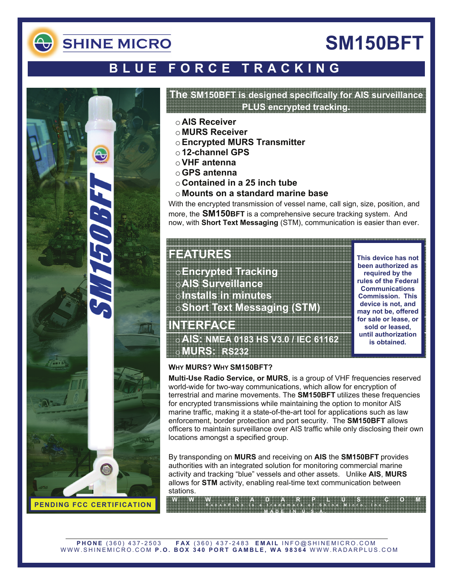

# **SM150BFT**

## **BLUE FORCE TRACKING**



### **The SM150BFT is designed specifically for AIS surveillance PLUS encrypted tracking.**

- o **AIS Receiver**
- o **MURS Receiver**
- o**Encrypted MURS Transmitter**
- o **12-channel GPS**
- o**VHF antenna**
- o**GPS antenna**
- o **Contained in a 25 inch tube**
- o **Mounts on a standard marine base**

With the encrypted transmission of vessel name, call sign, size, position, and more, the **SM150BFT** is a comprehensive secure tracking system. And now, with **Short Text Messaging** (STM), communication is easier than ever.

### **FEATURES**

**INTERFACE** 

o**Encrypted Tracking**  o**AIS Surveillance**  o**Installs in minutes Short Text Messaging** 

o**AIS: NMEA 0183 HS V3.0 / IEC 61162** 

**This device has not been authorized as required by the rules of the Federal Communications Commission. This device is not, and may not be, offered for sale or lease, or sold or leased, until authorization is obtained.** 

### **WHY MURS? WHY SM150BFT?**

o**MURS: RS232** 

**Multi-Use Radio Service, or MURS**, is a group of VHF frequencies reserved world-wide for two-way communications, which allow for encryption of terrestrial and marine movements. The **SM150BFT** utilizes these frequencies for encrypted transmissions while maintaining the option to monitor AIS marine traffic, making it a state-of-the-art tool for applications such as law enforcement, border protection and port security. The **SM150BFT** allows officers to maintain surveillance over AIS traffic while only disclosing their own locations amongst a specified group.

By transponding on **MURS** and receiving on **AIS** the **SM150BFT** provides authorities with an integrated solution for monitoring commercial marine activity and tracking "blue" vessels and other assets. Unlike **AIS**, **MURS** allows for **STM** activity, enabling real-time text communication between stations.

**WWW.RADARPLUS.COM R ADAR P LUS is a trademark of Shine Micro, Inc. MADE IN U.S.A.**